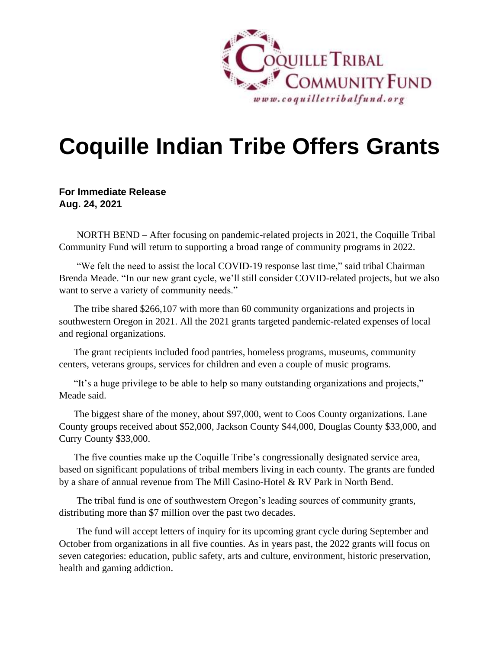

## **Coquille Indian Tribe Offers Grants**

## **For Immediate Release Aug. 24, 2021**

NORTH BEND – After focusing on pandemic-related projects in 2021, the Coquille Tribal Community Fund will return to supporting a broad range of community programs in 2022.

"We felt the need to assist the local COVID-19 response last time," said tribal Chairman Brenda Meade. "In our new grant cycle, we'll still consider COVID-related projects, but we also want to serve a variety of community needs."

The tribe shared \$266,107 with more than 60 community organizations and projects in southwestern Oregon in 2021. All the 2021 grants targeted pandemic-related expenses of local and regional organizations.

The grant recipients included food pantries, homeless programs, museums, community centers, veterans groups, services for children and even a couple of music programs.

"It's a huge privilege to be able to help so many outstanding organizations and projects," Meade said.

The biggest share of the money, about \$97,000, went to Coos County organizations. Lane County groups received about \$52,000, Jackson County \$44,000, Douglas County \$33,000, and Curry County \$33,000.

The five counties make up the Coquille Tribe's congressionally designated service area, based on significant populations of tribal members living in each county. The grants are funded by a share of annual revenue from The Mill Casino-Hotel & RV Park in North Bend.

The tribal fund is one of southwestern Oregon's leading sources of community grants, distributing more than \$7 million over the past two decades.

The fund will accept letters of inquiry for its upcoming grant cycle during September and October from organizations in all five counties. As in years past, the 2022 grants will focus on seven categories: education, public safety, arts and culture, environment, historic preservation, health and gaming addiction.